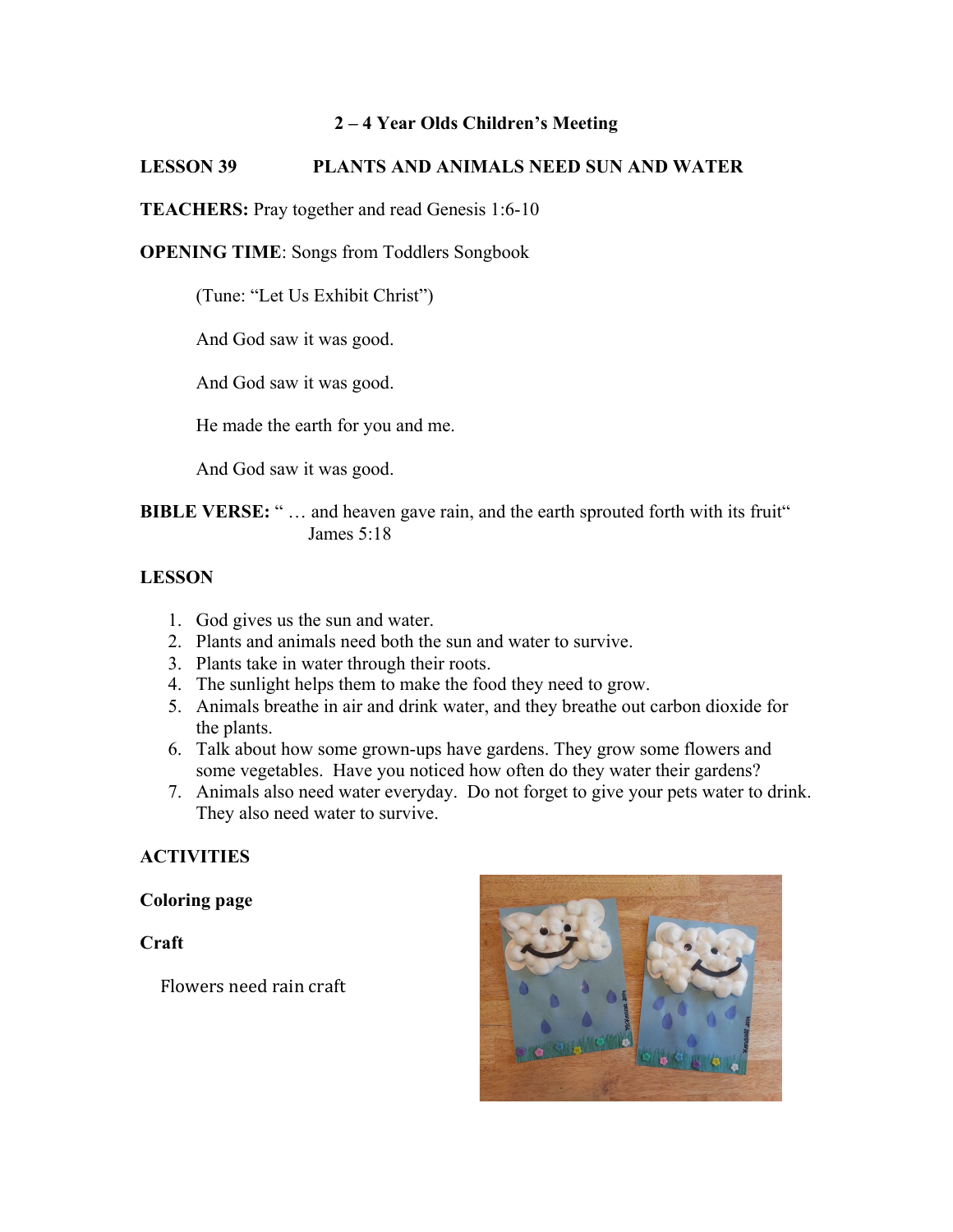## **2 – 4 Year Olds Children's Meeting**

# **LESSON 39 PLANTS AND ANIMALS NEED SUN AND WATER**

**TEACHERS:** Pray together and read Genesis 1:6-10

#### **OPENING TIME**: Songs from Toddlers Songbook

(Tune: "Let Us Exhibit Christ")

And God saw it was good.

And God saw it was good.

He made the earth for you and me.

And God saw it was good.

**BIBLE VERSE:** "... and heaven gave rain, and the earth sprouted forth with its fruit" James 5:18

## **LESSON**

- 1. God gives us the sun and water.
- 2. Plants and animals need both the sun and water to survive.
- 3. Plants take in water through their roots.
- 4. The sunlight helps them to make the food they need to grow.
- 5. Animals breathe in air and drink water, and they breathe out carbon dioxide for the plants.
- 6. Talk about how some grown-ups have gardens. They grow some flowers and some vegetables. Have you noticed how often do they water their gardens?
- 7. Animals also need water everyday. Do not forget to give your pets water to drink. They also need water to survive.

# **ACTIVITIES**

**Coloring page**

**Craft**

Flowers need rain craft